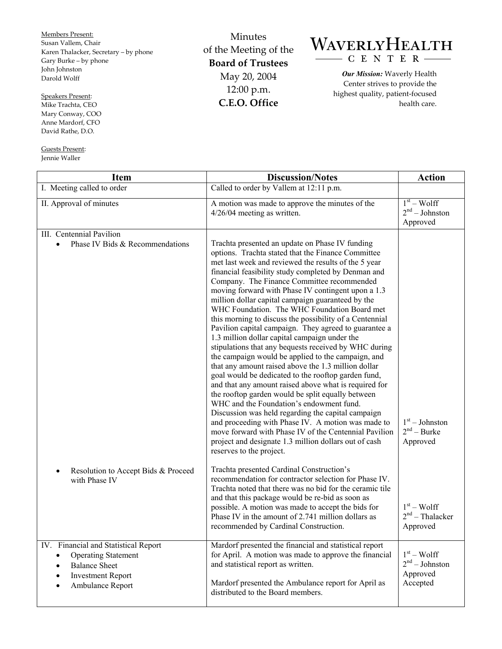Members Present: Susan Vallem, Chair Karen Thalacker, Secretary – by phone Gary Burke – by phone John Johnston Darold Wolff

Speakers Present: Mike Trachta, CEO Mary Conway, COO Anne Mardorf, CFO David Rathe, D.O.

Guests Present: Jennie Waller

Minutes of the Meeting of the **Board of Trustees**  May 20, 2004 12:00 p.m. **C.E.O. Office** 

## WAVERLYHEALTH CENTER

*Our Mission:* Waverly Health Center strives to provide the highest quality, patient-focused health care.

| <b>Item</b>                                                                                                                                                          | <b>Discussion/Notes</b>                                                                                                                                                                                                                                                                                                                                                                                                                                                                                                                                                                                                                                                                                                                                                                                                                                                                                                                                                                                                                                                                                                                                                                                                                             | <b>Action</b>                                            |
|----------------------------------------------------------------------------------------------------------------------------------------------------------------------|-----------------------------------------------------------------------------------------------------------------------------------------------------------------------------------------------------------------------------------------------------------------------------------------------------------------------------------------------------------------------------------------------------------------------------------------------------------------------------------------------------------------------------------------------------------------------------------------------------------------------------------------------------------------------------------------------------------------------------------------------------------------------------------------------------------------------------------------------------------------------------------------------------------------------------------------------------------------------------------------------------------------------------------------------------------------------------------------------------------------------------------------------------------------------------------------------------------------------------------------------------|----------------------------------------------------------|
| I. Meeting called to order                                                                                                                                           | Called to order by Vallem at 12:11 p.m.                                                                                                                                                                                                                                                                                                                                                                                                                                                                                                                                                                                                                                                                                                                                                                                                                                                                                                                                                                                                                                                                                                                                                                                                             |                                                          |
| II. Approval of minutes                                                                                                                                              | A motion was made to approve the minutes of the<br>$4/26/04$ meeting as written.                                                                                                                                                                                                                                                                                                                                                                                                                                                                                                                                                                                                                                                                                                                                                                                                                                                                                                                                                                                                                                                                                                                                                                    | $1st - Wolf$<br>$2nd - Johnston$<br>Approved             |
| III. Centennial Pavilion<br>Phase IV Bids & Recommendations<br>$\bullet$                                                                                             | Trachta presented an update on Phase IV funding<br>options. Trachta stated that the Finance Committee<br>met last week and reviewed the results of the 5 year<br>financial feasibility study completed by Denman and<br>Company. The Finance Committee recommended<br>moving forward with Phase IV contingent upon a 1.3<br>million dollar capital campaign guaranteed by the<br>WHC Foundation. The WHC Foundation Board met<br>this morning to discuss the possibility of a Centennial<br>Pavilion capital campaign. They agreed to guarantee a<br>1.3 million dollar capital campaign under the<br>stipulations that any bequests received by WHC during<br>the campaign would be applied to the campaign, and<br>that any amount raised above the 1.3 million dollar<br>goal would be dedicated to the rooftop garden fund,<br>and that any amount raised above what is required for<br>the rooftop garden would be split equally between<br>WHC and the Foundation's endowment fund.<br>Discussion was held regarding the capital campaign<br>and proceeding with Phase IV. A motion was made to<br>move forward with Phase IV of the Centennial Pavilion<br>project and designate 1.3 million dollars out of cash<br>reserves to the project. | $1st - Johnston$<br>$2nd - Burke$<br>Approved            |
| Resolution to Accept Bids & Proceed<br>$\bullet$<br>with Phase IV                                                                                                    | Trachta presented Cardinal Construction's<br>recommendation for contractor selection for Phase IV.<br>Trachta noted that there was no bid for the ceramic tile<br>and that this package would be re-bid as soon as<br>possible. A motion was made to accept the bids for<br>Phase IV in the amount of 2.741 million dollars as<br>recommended by Cardinal Construction.                                                                                                                                                                                                                                                                                                                                                                                                                                                                                                                                                                                                                                                                                                                                                                                                                                                                             | $1st - Wolf$<br>$2nd$ – Thalacker<br>Approved            |
| IV. Financial and Statistical Report<br><b>Operating Statement</b><br>$\bullet$<br><b>Balance Sheet</b><br><b>Investment Report</b><br>$\bullet$<br>Ambulance Report | Mardorf presented the financial and statistical report<br>for April. A motion was made to approve the financial<br>and statistical report as written.<br>Mardorf presented the Ambulance report for April as<br>distributed to the Board members.                                                                                                                                                                                                                                                                                                                                                                                                                                                                                                                                                                                                                                                                                                                                                                                                                                                                                                                                                                                                   | $1st - Wolf$<br>$2nd - Johnston$<br>Approved<br>Accepted |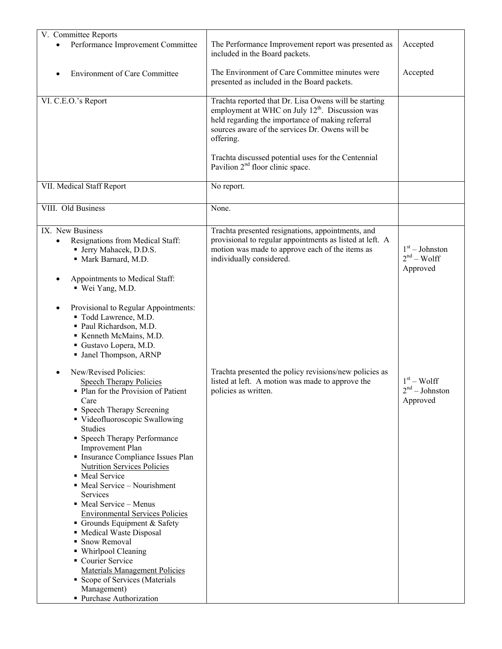| V. Committee Reports                                                                                                                                                                                                                                                                                                                                                                                                                                                                                                                                                                                                                                                                                          |                                                                                                                                                                                                                                                                                                 |                                              |
|---------------------------------------------------------------------------------------------------------------------------------------------------------------------------------------------------------------------------------------------------------------------------------------------------------------------------------------------------------------------------------------------------------------------------------------------------------------------------------------------------------------------------------------------------------------------------------------------------------------------------------------------------------------------------------------------------------------|-------------------------------------------------------------------------------------------------------------------------------------------------------------------------------------------------------------------------------------------------------------------------------------------------|----------------------------------------------|
| Performance Improvement Committee                                                                                                                                                                                                                                                                                                                                                                                                                                                                                                                                                                                                                                                                             | The Performance Improvement report was presented as<br>included in the Board packets.                                                                                                                                                                                                           | Accepted                                     |
| <b>Environment of Care Committee</b>                                                                                                                                                                                                                                                                                                                                                                                                                                                                                                                                                                                                                                                                          | The Environment of Care Committee minutes were<br>presented as included in the Board packets.                                                                                                                                                                                                   | Accepted                                     |
| VI. C.E.O.'s Report                                                                                                                                                                                                                                                                                                                                                                                                                                                                                                                                                                                                                                                                                           | Trachta reported that Dr. Lisa Owens will be starting<br>employment at WHC on July 12 <sup>th</sup> . Discussion was<br>held regarding the importance of making referral<br>sources aware of the services Dr. Owens will be<br>offering.<br>Trachta discussed potential uses for the Centennial |                                              |
| VII. Medical Staff Report                                                                                                                                                                                                                                                                                                                                                                                                                                                                                                                                                                                                                                                                                     | Pavilion 2 <sup>nd</sup> floor clinic space.<br>No report.                                                                                                                                                                                                                                      |                                              |
|                                                                                                                                                                                                                                                                                                                                                                                                                                                                                                                                                                                                                                                                                                               |                                                                                                                                                                                                                                                                                                 |                                              |
| VIII. Old Business                                                                                                                                                                                                                                                                                                                                                                                                                                                                                                                                                                                                                                                                                            | None.                                                                                                                                                                                                                                                                                           |                                              |
| IX. New Business<br>Resignations from Medical Staff:<br><b>Jerry Mahacek</b> , D.D.S.<br>· Mark Barnard, M.D.<br>Appointments to Medical Staff:<br>■ Wei Yang, M.D.<br>Provisional to Regular Appointments:<br>" Todd Lawrence, M.D.<br>Paul Richardson, M.D.<br>Kenneth McMains, M.D.<br>Gustavo Lopera, M.D.<br>• Janel Thompson, ARNP                                                                                                                                                                                                                                                                                                                                                                      | Trachta presented resignations, appointments, and<br>provisional to regular appointments as listed at left. A<br>motion was made to approve each of the items as<br>individually considered.                                                                                                    | $1st - Johnston$<br>$2nd - Wolf$<br>Approved |
| New/Revised Policies:<br><b>Speech Therapy Policies</b><br>• Plan for the Provision of Patient<br>Care<br>• Speech Therapy Screening<br>• Videofluoroscopic Swallowing<br><b>Studies</b><br>• Speech Therapy Performance<br><b>Improvement Plan</b><br>Insurance Compliance Issues Plan<br><b>Nutrition Services Policies</b><br>• Meal Service<br>• Meal Service – Nourishment<br>Services<br>• Meal Service – Menus<br><b>Environmental Services Policies</b><br>Grounds Equipment & Safety<br>• Medical Waste Disposal<br>• Snow Removal<br>• Whirlpool Cleaning<br>• Courier Service<br><b>Materials Management Policies</b><br>• Scope of Services (Materials<br>Management)<br>• Purchase Authorization | Trachta presented the policy revisions/new policies as<br>listed at left. A motion was made to approve the<br>policies as written.                                                                                                                                                              | $1st - Wolf$<br>$2nd - Johnston$<br>Approved |